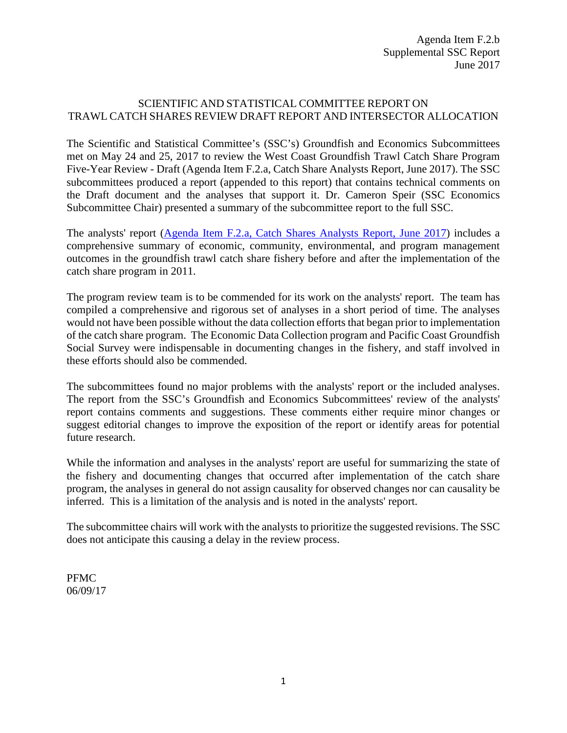#### SCIENTIFIC AND STATISTICAL COMMITTEE REPORT ON TRAWL CATCH SHARES REVIEW DRAFT REPORT AND INTERSECTOR ALLOCATION

The Scientific and Statistical Committee's (SSC's) Groundfish and Economics Subcommittees met on May 24 and 25, 2017 to review the West Coast Groundfish Trawl Catch Share Program Five-Year Review - Draft (Agenda Item F.2.a, Catch Share Analysts Report, June 2017). The SSC subcommittees produced a report (appended to this report) that contains technical comments on the Draft document and the analyses that support it. Dr. Cameron Speir (SSC Economics Subcommittee Chair) presented a summary of the subcommittee report to the full SSC.

The analysts' report [\(Agenda Item F.2.a, Catch Shares Analysts Report, June 2017\)](http://www.pcouncil.org/wp-content/uploads/2017/05/F2a_CatchShareAnalystsReport_FullReport_ElectricOnly_Jun2017BB.pdf) includes a comprehensive summary of economic, community, environmental, and program management outcomes in the groundfish trawl catch share fishery before and after the implementation of the catch share program in 2011.

The program review team is to be commended for its work on the analysts' report. The team has compiled a comprehensive and rigorous set of analyses in a short period of time. The analyses would not have been possible without the data collection efforts that began prior to implementation of the catch share program. The Economic Data Collection program and Pacific Coast Groundfish Social Survey were indispensable in documenting changes in the fishery, and staff involved in these efforts should also be commended.

The subcommittees found no major problems with the analysts' report or the included analyses. The report from the SSC's Groundfish and Economics Subcommittees' review of the analysts' report contains comments and suggestions. These comments either require minor changes or suggest editorial changes to improve the exposition of the report or identify areas for potential future research.

While the information and analyses in the analysts' report are useful for summarizing the state of the fishery and documenting changes that occurred after implementation of the catch share program, the analyses in general do not assign causality for observed changes nor can causality be inferred. This is a limitation of the analysis and is noted in the analysts' report.

The subcommittee chairs will work with the analysts to prioritize the suggested revisions. The SSC does not anticipate this causing a delay in the review process.

PFMC 06/09/17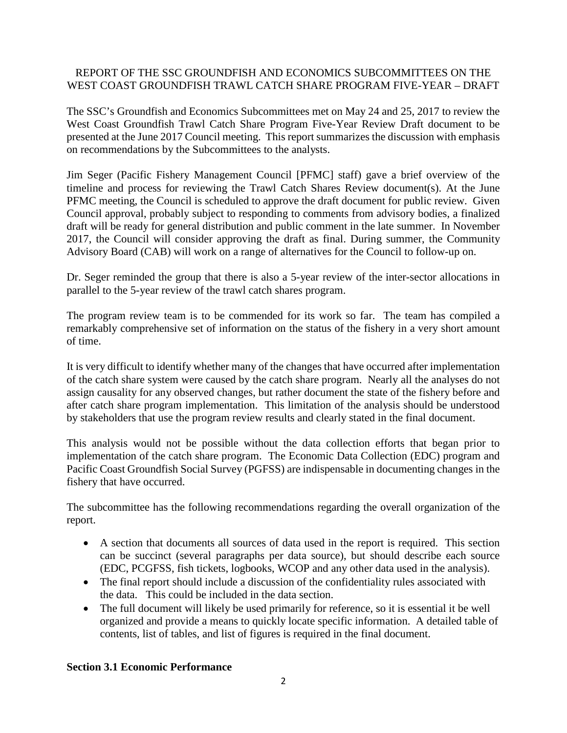### REPORT OF THE SSC GROUNDFISH AND ECONOMICS SUBCOMMITTEES ON THE WEST COAST GROUNDFISH TRAWL CATCH SHARE PROGRAM FIVE-YEAR – DRAFT

The SSC's Groundfish and Economics Subcommittees met on May 24 and 25, 2017 to review the West Coast Groundfish Trawl Catch Share Program Five-Year Review Draft document to be presented at the June 2017 Council meeting. This report summarizes the discussion with emphasis on recommendations by the Subcommittees to the analysts.

Jim Seger (Pacific Fishery Management Council [PFMC] staff) gave a brief overview of the timeline and process for reviewing the Trawl Catch Shares Review document(s). At the June PFMC meeting, the Council is scheduled to approve the draft document for public review. Given Council approval, probably subject to responding to comments from advisory bodies, a finalized draft will be ready for general distribution and public comment in the late summer. In November 2017, the Council will consider approving the draft as final. During summer, the Community Advisory Board (CAB) will work on a range of alternatives for the Council to follow-up on.

Dr. Seger reminded the group that there is also a 5-year review of the inter-sector allocations in parallel to the 5-year review of the trawl catch shares program.

The program review team is to be commended for its work so far. The team has compiled a remarkably comprehensive set of information on the status of the fishery in a very short amount of time.

It is very difficult to identify whether many of the changes that have occurred after implementation of the catch share system were caused by the catch share program. Nearly all the analyses do not assign causality for any observed changes, but rather document the state of the fishery before and after catch share program implementation. This limitation of the analysis should be understood by stakeholders that use the program review results and clearly stated in the final document.

This analysis would not be possible without the data collection efforts that began prior to implementation of the catch share program. The Economic Data Collection (EDC) program and Pacific Coast Groundfish Social Survey (PGFSS) are indispensable in documenting changes in the fishery that have occurred.

The subcommittee has the following recommendations regarding the overall organization of the report.

- A section that documents all sources of data used in the report is required. This section can be succinct (several paragraphs per data source), but should describe each source (EDC, PCGFSS, fish tickets, logbooks, WCOP and any other data used in the analysis).
- The final report should include a discussion of the confidentiality rules associated with the data. This could be included in the data section.
- The full document will likely be used primarily for reference, so it is essential it be well organized and provide a means to quickly locate specific information. A detailed table of contents, list of tables, and list of figures is required in the final document.

#### **Section 3.1 Economic Performance**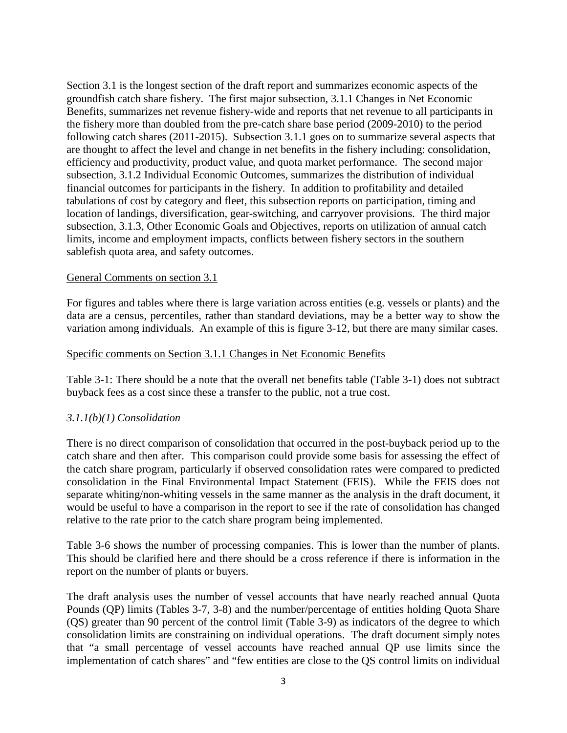Section 3.1 is the longest section of the draft report and summarizes economic aspects of the groundfish catch share fishery. The first major subsection, 3.1.1 Changes in Net Economic Benefits, summarizes net revenue fishery-wide and reports that net revenue to all participants in the fishery more than doubled from the pre-catch share base period (2009-2010) to the period following catch shares (2011-2015). Subsection 3.1.1 goes on to summarize several aspects that are thought to affect the level and change in net benefits in the fishery including: consolidation, efficiency and productivity, product value, and quota market performance. The second major subsection, 3.1.2 Individual Economic Outcomes, summarizes the distribution of individual financial outcomes for participants in the fishery. In addition to profitability and detailed tabulations of cost by category and fleet, this subsection reports on participation, timing and location of landings, diversification, gear-switching, and carryover provisions. The third major subsection, 3.1.3, Other Economic Goals and Objectives, reports on utilization of annual catch limits, income and employment impacts, conflicts between fishery sectors in the southern sablefish quota area, and safety outcomes.

#### General Comments on section 3.1

For figures and tables where there is large variation across entities (e.g. vessels or plants) and the data are a census, percentiles, rather than standard deviations, may be a better way to show the variation among individuals. An example of this is figure 3-12, but there are many similar cases.

#### Specific comments on Section 3.1.1 Changes in Net Economic Benefits

Table 3-1: There should be a note that the overall net benefits table (Table 3-1) does not subtract buyback fees as a cost since these a transfer to the public, not a true cost.

#### *3.1.1(b)(1) Consolidation*

There is no direct comparison of consolidation that occurred in the post-buyback period up to the catch share and then after. This comparison could provide some basis for assessing the effect of the catch share program, particularly if observed consolidation rates were compared to predicted consolidation in the Final Environmental Impact Statement (FEIS). While the FEIS does not separate whiting/non-whiting vessels in the same manner as the analysis in the draft document, it would be useful to have a comparison in the report to see if the rate of consolidation has changed relative to the rate prior to the catch share program being implemented.

Table 3-6 shows the number of processing companies. This is lower than the number of plants. This should be clarified here and there should be a cross reference if there is information in the report on the number of plants or buyers.

The draft analysis uses the number of vessel accounts that have nearly reached annual Quota Pounds (QP) limits (Tables 3-7, 3-8) and the number/percentage of entities holding Quota Share (QS) greater than 90 percent of the control limit (Table 3-9) as indicators of the degree to which consolidation limits are constraining on individual operations. The draft document simply notes that "a small percentage of vessel accounts have reached annual QP use limits since the implementation of catch shares" and "few entities are close to the QS control limits on individual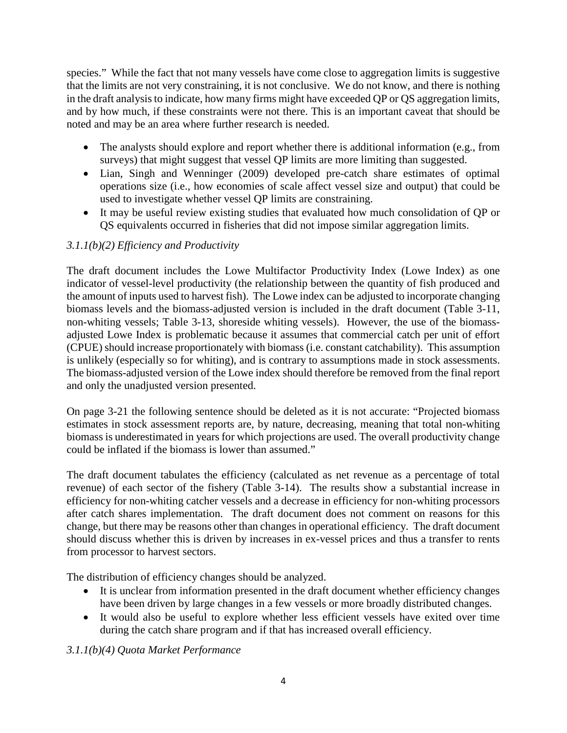species." While the fact that not many vessels have come close to aggregation limits is suggestive that the limits are not very constraining, it is not conclusive. We do not know, and there is nothing in the draft analysis to indicate, how many firms might have exceeded QP or QS aggregation limits, and by how much, if these constraints were not there. This is an important caveat that should be noted and may be an area where further research is needed.

- The analysts should explore and report whether there is additional information (e.g., from surveys) that might suggest that vessel QP limits are more limiting than suggested.
- Lian, Singh and Wenninger (2009) developed pre-catch share estimates of optimal operations size (i.e., how economies of scale affect vessel size and output) that could be used to investigate whether vessel QP limits are constraining.
- It may be useful review existing studies that evaluated how much consolidation of QP or QS equivalents occurred in fisheries that did not impose similar aggregation limits.

# *3.1.1(b)(2) Efficiency and Productivity*

The draft document includes the Lowe Multifactor Productivity Index (Lowe Index) as one indicator of vessel-level productivity (the relationship between the quantity of fish produced and the amount of inputs used to harvest fish). The Lowe index can be adjusted to incorporate changing biomass levels and the biomass-adjusted version is included in the draft document (Table 3-11, non-whiting vessels; Table 3-13, shoreside whiting vessels). However, the use of the biomassadjusted Lowe Index is problematic because it assumes that commercial catch per unit of effort (CPUE) should increase proportionately with biomass (i.e. constant catchability). This assumption is unlikely (especially so for whiting), and is contrary to assumptions made in stock assessments. The biomass-adjusted version of the Lowe index should therefore be removed from the final report and only the unadjusted version presented.

On page 3-21 the following sentence should be deleted as it is not accurate: "Projected biomass estimates in stock assessment reports are, by nature, decreasing, meaning that total non-whiting biomass is underestimated in years for which projections are used. The overall productivity change could be inflated if the biomass is lower than assumed."

The draft document tabulates the efficiency (calculated as net revenue as a percentage of total revenue) of each sector of the fishery (Table 3-14). The results show a substantial increase in efficiency for non-whiting catcher vessels and a decrease in efficiency for non-whiting processors after catch shares implementation. The draft document does not comment on reasons for this change, but there may be reasons other than changes in operational efficiency. The draft document should discuss whether this is driven by increases in ex-vessel prices and thus a transfer to rents from processor to harvest sectors.

The distribution of efficiency changes should be analyzed.

- It is unclear from information presented in the draft document whether efficiency changes have been driven by large changes in a few vessels or more broadly distributed changes.
- It would also be useful to explore whether less efficient vessels have exited over time during the catch share program and if that has increased overall efficiency.

# *3.1.1(b)(4) Quota Market Performance*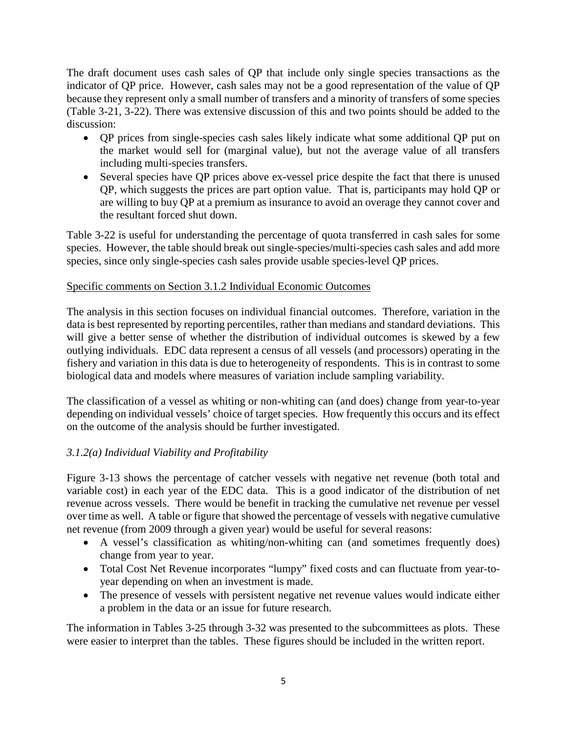The draft document uses cash sales of QP that include only single species transactions as the indicator of QP price. However, cash sales may not be a good representation of the value of QP because they represent only a small number of transfers and a minority of transfers of some species (Table 3-21, 3-22). There was extensive discussion of this and two points should be added to the discussion:

- QP prices from single-species cash sales likely indicate what some additional QP put on the market would sell for (marginal value), but not the average value of all transfers including multi-species transfers.
- Several species have QP prices above ex-vessel price despite the fact that there is unused QP, which suggests the prices are part option value. That is, participants may hold QP or are willing to buy QP at a premium as insurance to avoid an overage they cannot cover and the resultant forced shut down.

Table 3-22 is useful for understanding the percentage of quota transferred in cash sales for some species. However, the table should break out single-species/multi-species cash sales and add more species, since only single-species cash sales provide usable species-level QP prices.

### Specific comments on Section 3.1.2 Individual Economic Outcomes

The analysis in this section focuses on individual financial outcomes. Therefore, variation in the data is best represented by reporting percentiles, rather than medians and standard deviations. This will give a better sense of whether the distribution of individual outcomes is skewed by a few outlying individuals. EDC data represent a census of all vessels (and processors) operating in the fishery and variation in this data is due to heterogeneity of respondents. This is in contrast to some biological data and models where measures of variation include sampling variability.

The classification of a vessel as whiting or non-whiting can (and does) change from year-to-year depending on individual vessels' choice of target species. How frequently this occurs and its effect on the outcome of the analysis should be further investigated.

# *3.1.2(a) Individual Viability and Profitability*

Figure 3-13 shows the percentage of catcher vessels with negative net revenue (both total and variable cost) in each year of the EDC data. This is a good indicator of the distribution of net revenue across vessels. There would be benefit in tracking the cumulative net revenue per vessel over time as well. A table or figure that showed the percentage of vessels with negative cumulative net revenue (from 2009 through a given year) would be useful for several reasons:

- A vessel's classification as whiting/non-whiting can (and sometimes frequently does) change from year to year.
- Total Cost Net Revenue incorporates "lumpy" fixed costs and can fluctuate from year-toyear depending on when an investment is made.
- The presence of vessels with persistent negative net revenue values would indicate either a problem in the data or an issue for future research.

The information in Tables 3-25 through 3-32 was presented to the subcommittees as plots. These were easier to interpret than the tables. These figures should be included in the written report.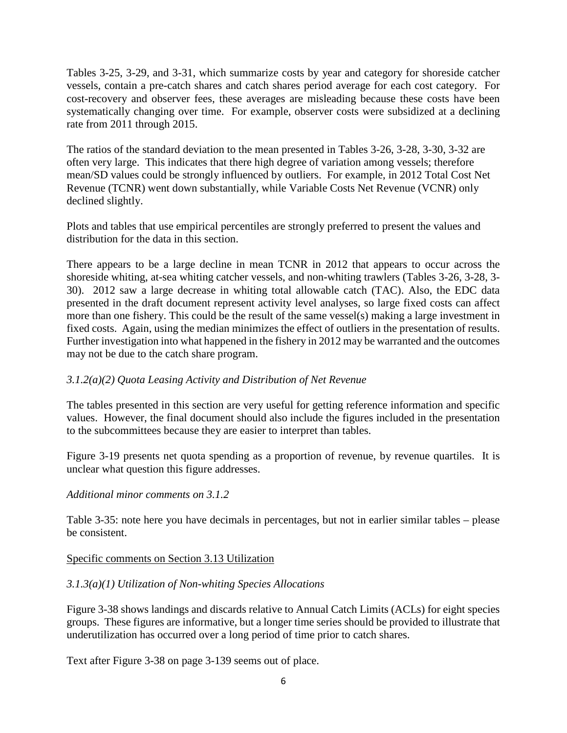Tables 3-25, 3-29, and 3-31, which summarize costs by year and category for shoreside catcher vessels, contain a pre-catch shares and catch shares period average for each cost category. For cost-recovery and observer fees, these averages are misleading because these costs have been systematically changing over time. For example, observer costs were subsidized at a declining rate from 2011 through 2015.

The ratios of the standard deviation to the mean presented in Tables 3-26, 3-28, 3-30, 3-32 are often very large. This indicates that there high degree of variation among vessels; therefore mean/SD values could be strongly influenced by outliers. For example, in 2012 Total Cost Net Revenue (TCNR) went down substantially, while Variable Costs Net Revenue (VCNR) only declined slightly.

Plots and tables that use empirical percentiles are strongly preferred to present the values and distribution for the data in this section.

There appears to be a large decline in mean TCNR in 2012 that appears to occur across the shoreside whiting, at-sea whiting catcher vessels, and non-whiting trawlers (Tables 3-26, 3-28, 3- 30). 2012 saw a large decrease in whiting total allowable catch (TAC). Also, the EDC data presented in the draft document represent activity level analyses, so large fixed costs can affect more than one fishery. This could be the result of the same vessel(s) making a large investment in fixed costs. Again, using the median minimizes the effect of outliers in the presentation of results. Further investigation into what happened in the fishery in 2012 may be warranted and the outcomes may not be due to the catch share program.

### *3.1.2(a)(2) Quota Leasing Activity and Distribution of Net Revenue*

The tables presented in this section are very useful for getting reference information and specific values. However, the final document should also include the figures included in the presentation to the subcommittees because they are easier to interpret than tables.

Figure 3-19 presents net quota spending as a proportion of revenue, by revenue quartiles. It is unclear what question this figure addresses.

#### *Additional minor comments on 3.1.2*

Table 3-35: note here you have decimals in percentages, but not in earlier similar tables – please be consistent.

#### Specific comments on Section 3.13 Utilization

### *3.1.3(a)(1) Utilization of Non-whiting Species Allocations*

Figure 3-38 shows landings and discards relative to Annual Catch Limits (ACLs) for eight species groups. These figures are informative, but a longer time series should be provided to illustrate that underutilization has occurred over a long period of time prior to catch shares.

Text after Figure 3-38 on page 3-139 seems out of place.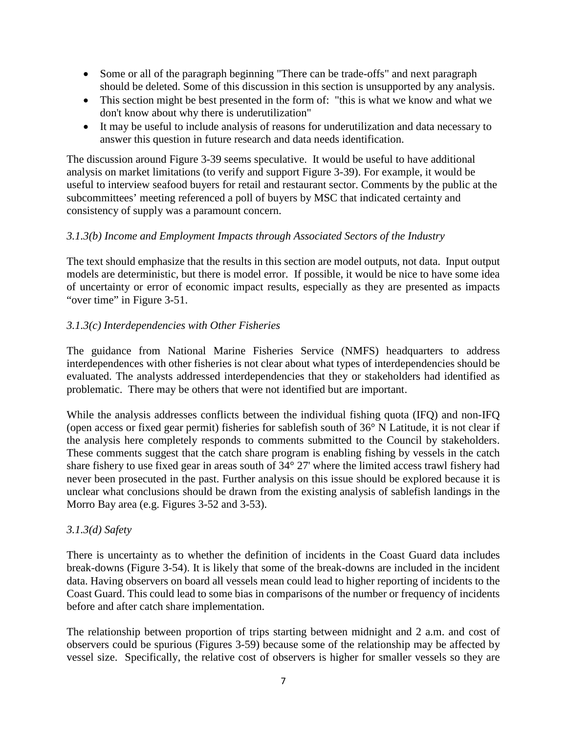- Some or all of the paragraph beginning "There can be trade-offs" and next paragraph should be deleted. Some of this discussion in this section is unsupported by any analysis.
- This section might be best presented in the form of: "this is what we know and what we don't know about why there is underutilization"
- It may be useful to include analysis of reasons for underutilization and data necessary to answer this question in future research and data needs identification.

The discussion around Figure 3-39 seems speculative. It would be useful to have additional analysis on market limitations (to verify and support Figure 3-39). For example, it would be useful to interview seafood buyers for retail and restaurant sector. Comments by the public at the subcommittees' meeting referenced a poll of buyers by MSC that indicated certainty and consistency of supply was a paramount concern.

### *3.1.3(b) Income and Employment Impacts through Associated Sectors of the Industry*

The text should emphasize that the results in this section are model outputs, not data. Input output models are deterministic, but there is model error. If possible, it would be nice to have some idea of uncertainty or error of economic impact results, especially as they are presented as impacts "over time" in Figure 3-51.

#### *3.1.3(c) Interdependencies with Other Fisheries*

The guidance from National Marine Fisheries Service (NMFS) headquarters to address interdependences with other fisheries is not clear about what types of interdependencies should be evaluated. The analysts addressed interdependencies that they or stakeholders had identified as problematic. There may be others that were not identified but are important.

While the analysis addresses conflicts between the individual fishing quota (IFQ) and non-IFQ (open access or fixed gear permit) fisheries for sablefish south of 36° N Latitude, it is not clear if the analysis here completely responds to comments submitted to the Council by stakeholders. These comments suggest that the catch share program is enabling fishing by vessels in the catch share fishery to use fixed gear in areas south of 34° 27' where the limited access trawl fishery had never been prosecuted in the past. Further analysis on this issue should be explored because it is unclear what conclusions should be drawn from the existing analysis of sablefish landings in the Morro Bay area (e.g. Figures 3-52 and 3-53).

#### *3.1.3(d) Safety*

There is uncertainty as to whether the definition of incidents in the Coast Guard data includes break-downs (Figure 3-54). It is likely that some of the break-downs are included in the incident data. Having observers on board all vessels mean could lead to higher reporting of incidents to the Coast Guard. This could lead to some bias in comparisons of the number or frequency of incidents before and after catch share implementation.

The relationship between proportion of trips starting between midnight and 2 a.m. and cost of observers could be spurious (Figures 3-59) because some of the relationship may be affected by vessel size. Specifically, the relative cost of observers is higher for smaller vessels so they are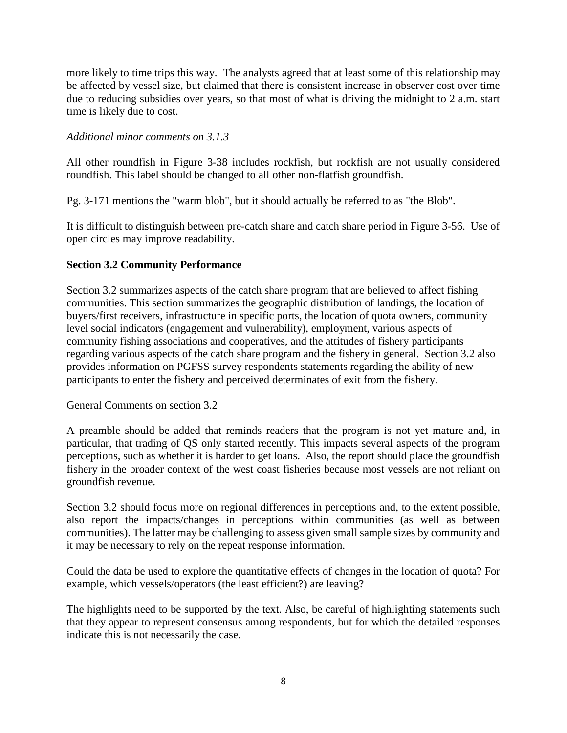more likely to time trips this way. The analysts agreed that at least some of this relationship may be affected by vessel size, but claimed that there is consistent increase in observer cost over time due to reducing subsidies over years, so that most of what is driving the midnight to 2 a.m. start time is likely due to cost.

## *Additional minor comments on 3.1.3*

All other roundfish in Figure 3-38 includes rockfish, but rockfish are not usually considered roundfish. This label should be changed to all other non-flatfish groundfish.

Pg. 3-171 mentions the "warm blob", but it should actually be referred to as "the Blob".

It is difficult to distinguish between pre-catch share and catch share period in Figure 3-56. Use of open circles may improve readability.

### **Section 3.2 Community Performance**

Section 3.2 summarizes aspects of the catch share program that are believed to affect fishing communities. This section summarizes the geographic distribution of landings, the location of buyers/first receivers, infrastructure in specific ports, the location of quota owners, community level social indicators (engagement and vulnerability), employment, various aspects of community fishing associations and cooperatives, and the attitudes of fishery participants regarding various aspects of the catch share program and the fishery in general. Section 3.2 also provides information on PGFSS survey respondents statements regarding the ability of new participants to enter the fishery and perceived determinates of exit from the fishery.

#### General Comments on section 3.2

A preamble should be added that reminds readers that the program is not yet mature and, in particular, that trading of QS only started recently. This impacts several aspects of the program perceptions, such as whether it is harder to get loans. Also, the report should place the groundfish fishery in the broader context of the west coast fisheries because most vessels are not reliant on groundfish revenue.

Section 3.2 should focus more on regional differences in perceptions and, to the extent possible, also report the impacts/changes in perceptions within communities (as well as between communities). The latter may be challenging to assess given small sample sizes by community and it may be necessary to rely on the repeat response information.

Could the data be used to explore the quantitative effects of changes in the location of quota? For example, which vessels/operators (the least efficient?) are leaving?

The highlights need to be supported by the text. Also, be careful of highlighting statements such that they appear to represent consensus among respondents, but for which the detailed responses indicate this is not necessarily the case.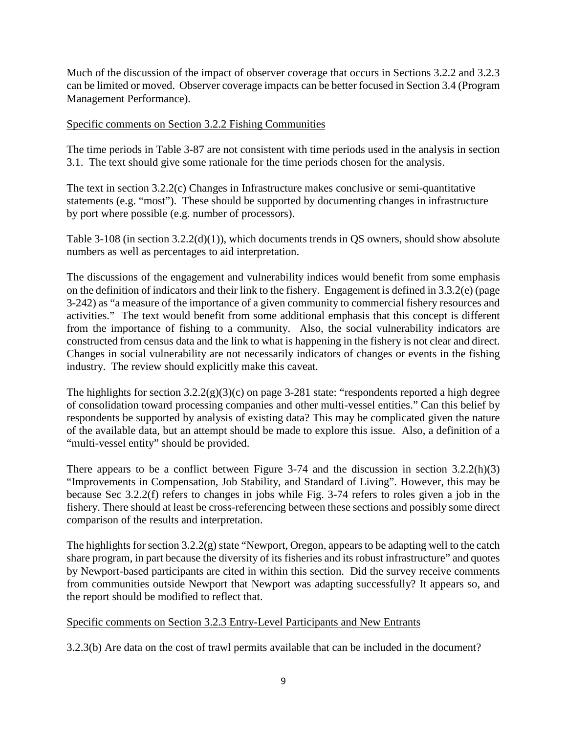Much of the discussion of the impact of observer coverage that occurs in Sections 3.2.2 and 3.2.3 can be limited or moved. Observer coverage impacts can be better focused in Section 3.4 (Program Management Performance).

#### Specific comments on Section 3.2.2 Fishing Communities

The time periods in Table 3-87 are not consistent with time periods used in the analysis in section 3.1. The text should give some rationale for the time periods chosen for the analysis.

The text in section 3.2.2(c) Changes in Infrastructure makes conclusive or semi-quantitative statements (e.g. "most"). These should be supported by documenting changes in infrastructure by port where possible (e.g. number of processors).

Table 3-108 (in section 3.2.2(d)(1)), which documents trends in QS owners, should show absolute numbers as well as percentages to aid interpretation.

The discussions of the engagement and vulnerability indices would benefit from some emphasis on the definition of indicators and their link to the fishery. Engagement is defined in 3.3.2(e) (page 3-242) as "a measure of the importance of a given community to commercial fishery resources and activities." The text would benefit from some additional emphasis that this concept is different from the importance of fishing to a community. Also, the social vulnerability indicators are constructed from census data and the link to what is happening in the fishery is not clear and direct. Changes in social vulnerability are not necessarily indicators of changes or events in the fishing industry. The review should explicitly make this caveat.

The highlights for section  $3.2.2(g)(3)(c)$  on page 3-281 state: "respondents reported a high degree of consolidation toward processing companies and other multi-vessel entities." Can this belief by respondents be supported by analysis of existing data? This may be complicated given the nature of the available data, but an attempt should be made to explore this issue. Also, a definition of a "multi-vessel entity" should be provided.

There appears to be a conflict between Figure 3-74 and the discussion in section 3.2.2(h)(3) "Improvements in Compensation, Job Stability, and Standard of Living". However, this may be because Sec 3.2.2(f) refers to changes in jobs while Fig. 3-74 refers to roles given a job in the fishery. There should at least be cross-referencing between these sections and possibly some direct comparison of the results and interpretation.

The highlights for section 3.2.2(g) state "Newport, Oregon, appears to be adapting well to the catch share program, in part because the diversity of its fisheries and its robust infrastructure" and quotes by Newport-based participants are cited in within this section. Did the survey receive comments from communities outside Newport that Newport was adapting successfully? It appears so, and the report should be modified to reflect that.

### Specific comments on Section 3.2.3 Entry-Level Participants and New Entrants

3.2.3(b) Are data on the cost of trawl permits available that can be included in the document?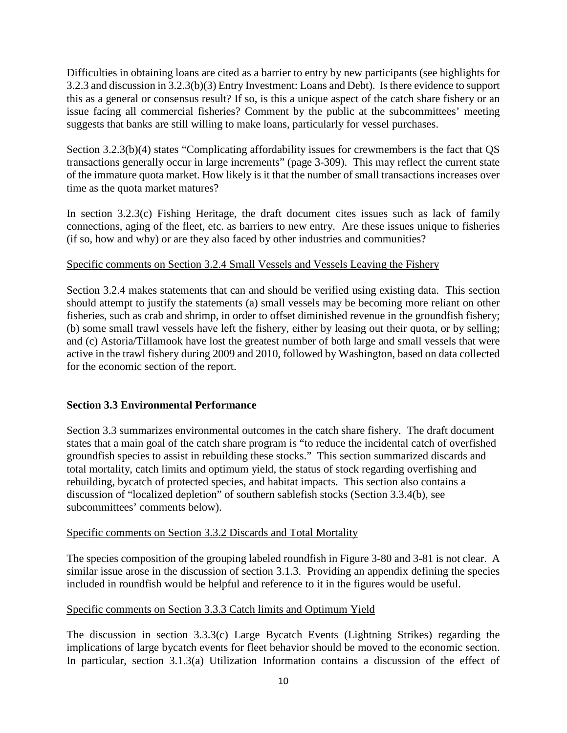Difficulties in obtaining loans are cited as a barrier to entry by new participants (see highlights for 3.2.3 and discussion in 3.2.3(b)(3) Entry Investment: Loans and Debt). Is there evidence to support this as a general or consensus result? If so, is this a unique aspect of the catch share fishery or an issue facing all commercial fisheries? Comment by the public at the subcommittees' meeting suggests that banks are still willing to make loans, particularly for vessel purchases.

Section 3.2.3(b)(4) states "Complicating affordability issues for crewmembers is the fact that QS transactions generally occur in large increments" (page 3-309). This may reflect the current state of the immature quota market. How likely is it that the number of small transactions increases over time as the quota market matures?

In section 3.2.3(c) Fishing Heritage, the draft document cites issues such as lack of family connections, aging of the fleet, etc. as barriers to new entry. Are these issues unique to fisheries (if so, how and why) or are they also faced by other industries and communities?

### Specific comments on Section 3.2.4 Small Vessels and Vessels Leaving the Fishery

Section 3.2.4 makes statements that can and should be verified using existing data. This section should attempt to justify the statements (a) small vessels may be becoming more reliant on other fisheries, such as crab and shrimp, in order to offset diminished revenue in the groundfish fishery; (b) some small trawl vessels have left the fishery, either by leasing out their quota, or by selling; and (c) Astoria/Tillamook have lost the greatest number of both large and small vessels that were active in the trawl fishery during 2009 and 2010, followed by Washington, based on data collected for the economic section of the report.

### **Section 3.3 Environmental Performance**

Section 3.3 summarizes environmental outcomes in the catch share fishery. The draft document states that a main goal of the catch share program is "to reduce the incidental catch of overfished groundfish species to assist in rebuilding these stocks." This section summarized discards and total mortality, catch limits and optimum yield, the status of stock regarding overfishing and rebuilding, bycatch of protected species, and habitat impacts. This section also contains a discussion of "localized depletion" of southern sablefish stocks (Section 3.3.4(b), see subcommittees' comments below).

### Specific comments on Section 3.3.2 Discards and Total Mortality

The species composition of the grouping labeled roundfish in Figure 3-80 and 3-81 is not clear. A similar issue arose in the discussion of section 3.1.3. Providing an appendix defining the species included in roundfish would be helpful and reference to it in the figures would be useful.

### Specific comments on Section 3.3.3 Catch limits and Optimum Yield

The discussion in section 3.3.3(c) Large Bycatch Events (Lightning Strikes) regarding the implications of large bycatch events for fleet behavior should be moved to the economic section. In particular, section 3.1.3(a) Utilization Information contains a discussion of the effect of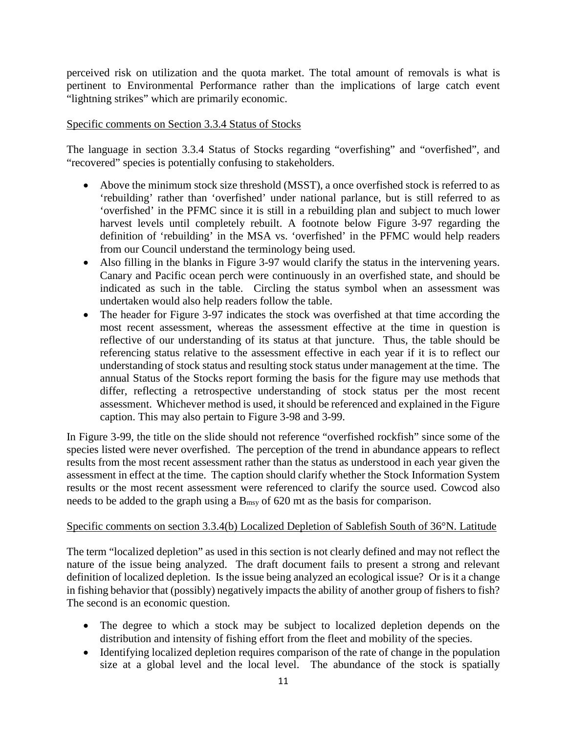perceived risk on utilization and the quota market. The total amount of removals is what is pertinent to Environmental Performance rather than the implications of large catch event "lightning strikes" which are primarily economic.

#### Specific comments on Section 3.3.4 Status of Stocks

The language in section 3.3.4 Status of Stocks regarding "overfishing" and "overfished", and "recovered" species is potentially confusing to stakeholders.

- Above the minimum stock size threshold (MSST), a once overfished stock is referred to as 'rebuilding' rather than 'overfished' under national parlance, but is still referred to as 'overfished' in the PFMC since it is still in a rebuilding plan and subject to much lower harvest levels until completely rebuilt. A footnote below Figure 3-97 regarding the definition of 'rebuilding' in the MSA vs. 'overfished' in the PFMC would help readers from our Council understand the terminology being used.
- Also filling in the blanks in Figure 3-97 would clarify the status in the intervening years. Canary and Pacific ocean perch were continuously in an overfished state, and should be indicated as such in the table. Circling the status symbol when an assessment was undertaken would also help readers follow the table.
- The header for Figure 3-97 indicates the stock was overfished at that time according the most recent assessment, whereas the assessment effective at the time in question is reflective of our understanding of its status at that juncture. Thus, the table should be referencing status relative to the assessment effective in each year if it is to reflect our understanding of stock status and resulting stock status under management at the time. The annual Status of the Stocks report forming the basis for the figure may use methods that differ, reflecting a retrospective understanding of stock status per the most recent assessment. Whichever method is used, it should be referenced and explained in the Figure caption. This may also pertain to Figure 3-98 and 3-99.

In Figure 3-99, the title on the slide should not reference "overfished rockfish" since some of the species listed were never overfished. The perception of the trend in abundance appears to reflect results from the most recent assessment rather than the status as understood in each year given the assessment in effect at the time. The caption should clarify whether the Stock Information System results or the most recent assessment were referenced to clarify the source used. Cowcod also needs to be added to the graph using a  $B_{\text{msy}}$  of 620 mt as the basis for comparison.

#### Specific comments on section 3.3.4(b) Localized Depletion of Sablefish South of 36°N. Latitude

The term "localized depletion" as used in this section is not clearly defined and may not reflect the nature of the issue being analyzed. The draft document fails to present a strong and relevant definition of localized depletion. Is the issue being analyzed an ecological issue? Or is it a change in fishing behavior that (possibly) negatively impacts the ability of another group of fishers to fish? The second is an economic question.

- The degree to which a stock may be subject to localized depletion depends on the distribution and intensity of fishing effort from the fleet and mobility of the species.
- Identifying localized depletion requires comparison of the rate of change in the population size at a global level and the local level. The abundance of the stock is spatially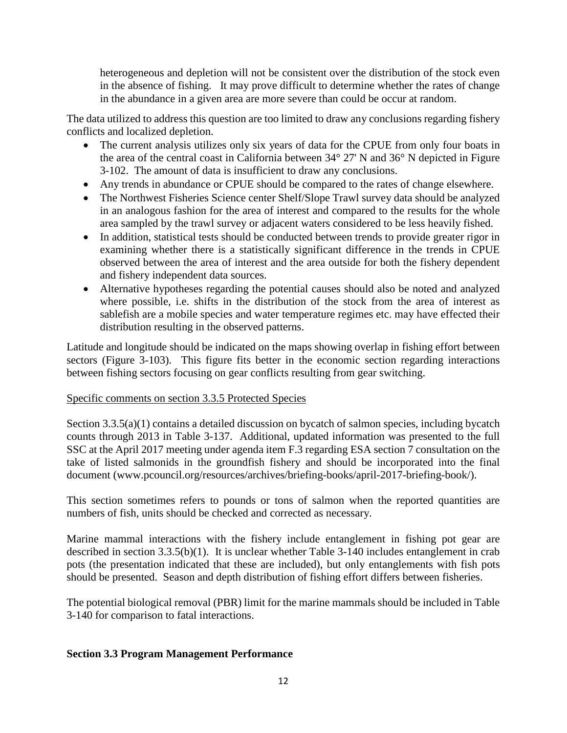heterogeneous and depletion will not be consistent over the distribution of the stock even in the absence of fishing. It may prove difficult to determine whether the rates of change in the abundance in a given area are more severe than could be occur at random.

The data utilized to address this question are too limited to draw any conclusions regarding fishery conflicts and localized depletion.

- The current analysis utilizes only six years of data for the CPUE from only four boats in the area of the central coast in California between 34° 27' N and 36° N depicted in Figure 3-102. The amount of data is insufficient to draw any conclusions.
- Any trends in abundance or CPUE should be compared to the rates of change elsewhere.
- The Northwest Fisheries Science center Shelf/Slope Trawl survey data should be analyzed in an analogous fashion for the area of interest and compared to the results for the whole area sampled by the trawl survey or adjacent waters considered to be less heavily fished.
- In addition, statistical tests should be conducted between trends to provide greater rigor in examining whether there is a statistically significant difference in the trends in CPUE observed between the area of interest and the area outside for both the fishery dependent and fishery independent data sources.
- Alternative hypotheses regarding the potential causes should also be noted and analyzed where possible, i.e. shifts in the distribution of the stock from the area of interest as sablefish are a mobile species and water temperature regimes etc. may have effected their distribution resulting in the observed patterns.

Latitude and longitude should be indicated on the maps showing overlap in fishing effort between sectors (Figure 3-103). This figure fits better in the economic section regarding interactions between fishing sectors focusing on gear conflicts resulting from gear switching.

### Specific comments on section 3.3.5 Protected Species

Section 3.3.5(a)(1) contains a detailed discussion on bycatch of salmon species, including bycatch counts through 2013 in Table 3-137. Additional, updated information was presented to the full SSC at the April 2017 meeting under agenda item F.3 regarding ESA section 7 consultation on the take of listed salmonids in the groundfish fishery and should be incorporated into the final document (www.pcouncil.org/resources/archives/briefing-books/april-2017-briefing-book/).

This section sometimes refers to pounds or tons of salmon when the reported quantities are numbers of fish, units should be checked and corrected as necessary.

Marine mammal interactions with the fishery include entanglement in fishing pot gear are described in section 3.3.5(b)(1). It is unclear whether Table 3-140 includes entanglement in crab pots (the presentation indicated that these are included), but only entanglements with fish pots should be presented. Season and depth distribution of fishing effort differs between fisheries.

The potential biological removal (PBR) limit for the marine mammals should be included in Table 3-140 for comparison to fatal interactions.

### **Section 3.3 Program Management Performance**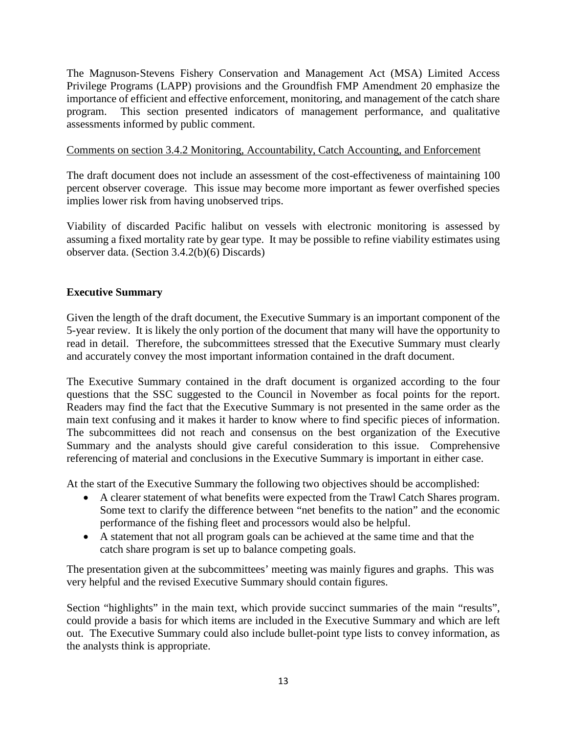The Magnuson‐Stevens Fishery Conservation and Management Act (MSA) Limited Access Privilege Programs (LAPP) provisions and the Groundfish FMP Amendment 20 emphasize the importance of efficient and effective enforcement, monitoring, and management of the catch share program. This section presented indicators of management performance, and qualitative assessments informed by public comment.

### Comments on section 3.4.2 Monitoring, Accountability, Catch Accounting, and Enforcement

The draft document does not include an assessment of the cost-effectiveness of maintaining 100 percent observer coverage. This issue may become more important as fewer overfished species implies lower risk from having unobserved trips.

Viability of discarded Pacific halibut on vessels with electronic monitoring is assessed by assuming a fixed mortality rate by gear type. It may be possible to refine viability estimates using observer data. (Section 3.4.2(b)(6) Discards)

# **Executive Summary**

Given the length of the draft document, the Executive Summary is an important component of the 5-year review. It is likely the only portion of the document that many will have the opportunity to read in detail. Therefore, the subcommittees stressed that the Executive Summary must clearly and accurately convey the most important information contained in the draft document.

The Executive Summary contained in the draft document is organized according to the four questions that the SSC suggested to the Council in November as focal points for the report. Readers may find the fact that the Executive Summary is not presented in the same order as the main text confusing and it makes it harder to know where to find specific pieces of information. The subcommittees did not reach and consensus on the best organization of the Executive Summary and the analysts should give careful consideration to this issue. Comprehensive referencing of material and conclusions in the Executive Summary is important in either case.

At the start of the Executive Summary the following two objectives should be accomplished:

- A clearer statement of what benefits were expected from the Trawl Catch Shares program. Some text to clarify the difference between "net benefits to the nation" and the economic performance of the fishing fleet and processors would also be helpful.
- A statement that not all program goals can be achieved at the same time and that the catch share program is set up to balance competing goals.

The presentation given at the subcommittees' meeting was mainly figures and graphs. This was very helpful and the revised Executive Summary should contain figures.

Section "highlights" in the main text, which provide succinct summaries of the main "results", could provide a basis for which items are included in the Executive Summary and which are left out. The Executive Summary could also include bullet-point type lists to convey information, as the analysts think is appropriate.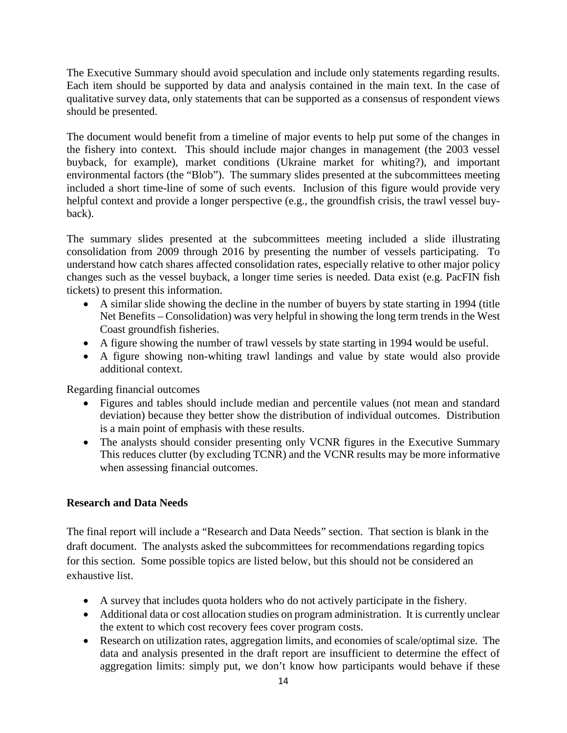The Executive Summary should avoid speculation and include only statements regarding results. Each item should be supported by data and analysis contained in the main text. In the case of qualitative survey data, only statements that can be supported as a consensus of respondent views should be presented.

The document would benefit from a timeline of major events to help put some of the changes in the fishery into context. This should include major changes in management (the 2003 vessel buyback, for example), market conditions (Ukraine market for whiting?), and important environmental factors (the "Blob"). The summary slides presented at the subcommittees meeting included a short time-line of some of such events. Inclusion of this figure would provide very helpful context and provide a longer perspective (e.g., the groundfish crisis, the trawl vessel buyback).

The summary slides presented at the subcommittees meeting included a slide illustrating consolidation from 2009 through 2016 by presenting the number of vessels participating. To understand how catch shares affected consolidation rates, especially relative to other major policy changes such as the vessel buyback, a longer time series is needed. Data exist (e.g. PacFIN fish tickets) to present this information.

- A similar slide showing the decline in the number of buyers by state starting in 1994 (title Net Benefits – Consolidation) was very helpful in showing the long term trends in the West Coast groundfish fisheries.
- A figure showing the number of trawl vessels by state starting in 1994 would be useful.
- A figure showing non-whiting trawl landings and value by state would also provide additional context.

Regarding financial outcomes

- Figures and tables should include median and percentile values (not mean and standard deviation) because they better show the distribution of individual outcomes. Distribution is a main point of emphasis with these results.
- The analysts should consider presenting only VCNR figures in the Executive Summary This reduces clutter (by excluding TCNR) and the VCNR results may be more informative when assessing financial outcomes.

### **Research and Data Needs**

The final report will include a "Research and Data Needs" section. That section is blank in the draft document. The analysts asked the subcommittees for recommendations regarding topics for this section. Some possible topics are listed below, but this should not be considered an exhaustive list.

- A survey that includes quota holders who do not actively participate in the fishery.
- Additional data or cost allocation studies on program administration. It is currently unclear the extent to which cost recovery fees cover program costs.
- Research on utilization rates, aggregation limits, and economies of scale/optimal size. The data and analysis presented in the draft report are insufficient to determine the effect of aggregation limits: simply put, we don't know how participants would behave if these